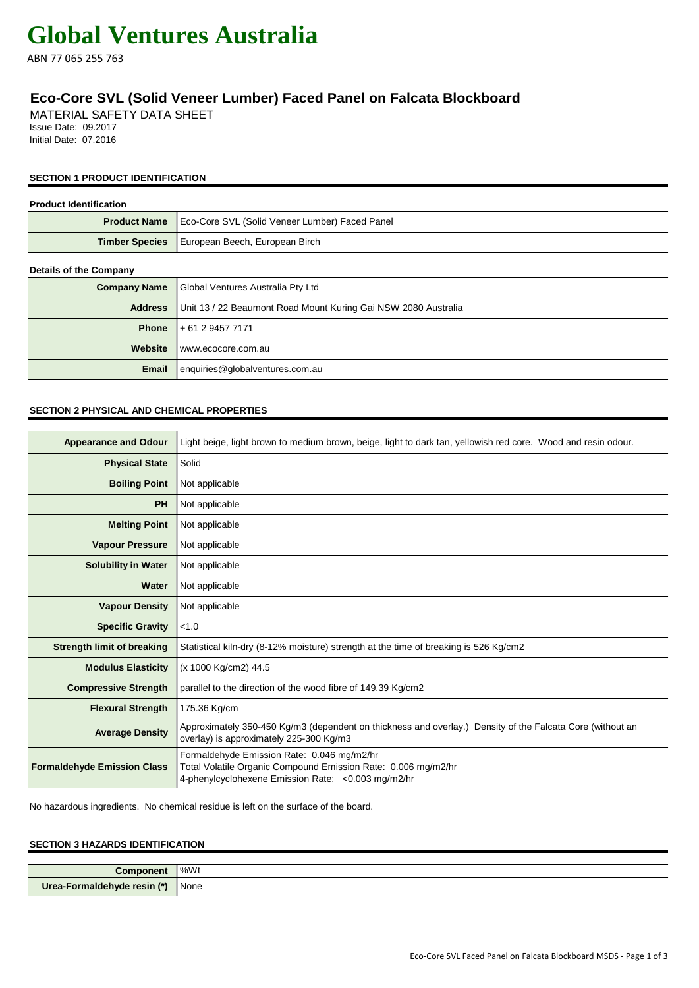# **Global Ventures Australia**

ABN 77 065 255 763

# **Eco-Core SVL (Solid Veneer Lumber) Faced Panel on Falcata Blockboard**

MATERIAL SAFETY DATA SHEET Issue Date: 09.2017 Initial Date: 07.2016

# **SECTION 1 PRODUCT IDENTIFICATION**

| <b>Product Identification</b> |                                                                |
|-------------------------------|----------------------------------------------------------------|
| <b>Product Name</b>           | Eco-Core SVL (Solid Veneer Lumber) Faced Panel                 |
| <b>Timber Species</b>         | European Beech, European Birch                                 |
| <b>Details of the Company</b> |                                                                |
| <b>Company Name</b>           | Global Ventures Australia Pty Ltd                              |
| <b>Address</b>                | Unit 13 / 22 Beaumont Road Mount Kuring Gai NSW 2080 Australia |
| <b>Phone</b>                  | + 61 2 9457 7171                                               |
| Website                       | www.ecocore.com.au                                             |
| Email                         | enquiries@globalventures.com.au                                |

# **SECTION 2 PHYSICAL AND CHEMICAL PROPERTIES**

| <b>Appearance and Odour</b>        | Light beige, light brown to medium brown, beige, light to dark tan, yellowish red core. Wood and resin odour.                                                      |
|------------------------------------|--------------------------------------------------------------------------------------------------------------------------------------------------------------------|
| <b>Physical State</b>              | Solid                                                                                                                                                              |
| <b>Boiling Point</b>               | Not applicable                                                                                                                                                     |
| <b>PH</b>                          | Not applicable                                                                                                                                                     |
| <b>Melting Point</b>               | Not applicable                                                                                                                                                     |
| <b>Vapour Pressure</b>             | Not applicable                                                                                                                                                     |
| <b>Solubility in Water</b>         | Not applicable                                                                                                                                                     |
| Water                              | Not applicable                                                                                                                                                     |
| <b>Vapour Density</b>              | Not applicable                                                                                                                                                     |
| <b>Specific Gravity</b>            | < 1.0                                                                                                                                                              |
| <b>Strength limit of breaking</b>  | Statistical kiln-dry (8-12% moisture) strength at the time of breaking is 526 Kg/cm2                                                                               |
| <b>Modulus Elasticity</b>          | (x 1000 Kg/cm2) 44.5                                                                                                                                               |
| <b>Compressive Strength</b>        | parallel to the direction of the wood fibre of 149.39 Kg/cm2                                                                                                       |
| <b>Flexural Strength</b>           | 175.36 Kg/cm                                                                                                                                                       |
| <b>Average Density</b>             | Approximately 350-450 Kg/m3 (dependent on thickness and overlay.) Density of the Falcata Core (without an<br>overlay) is approximately 225-300 Kg/m3               |
| <b>Formaldehyde Emission Class</b> | Formaldehyde Emission Rate: 0.046 mg/m2/hr<br>Total Volatile Organic Compound Emission Rate: 0.006 mg/m2/hr<br>4-phenylcyclohexene Emission Rate: < 0.003 mg/m2/hr |

No hazardous ingredients. No chemical residue is left on the surface of the board.

# **SECTION 3 HAZARDS IDENTIFICATION**

| Component                   | %Wt  |
|-----------------------------|------|
| Urea-Formaldehyde resin (*) | None |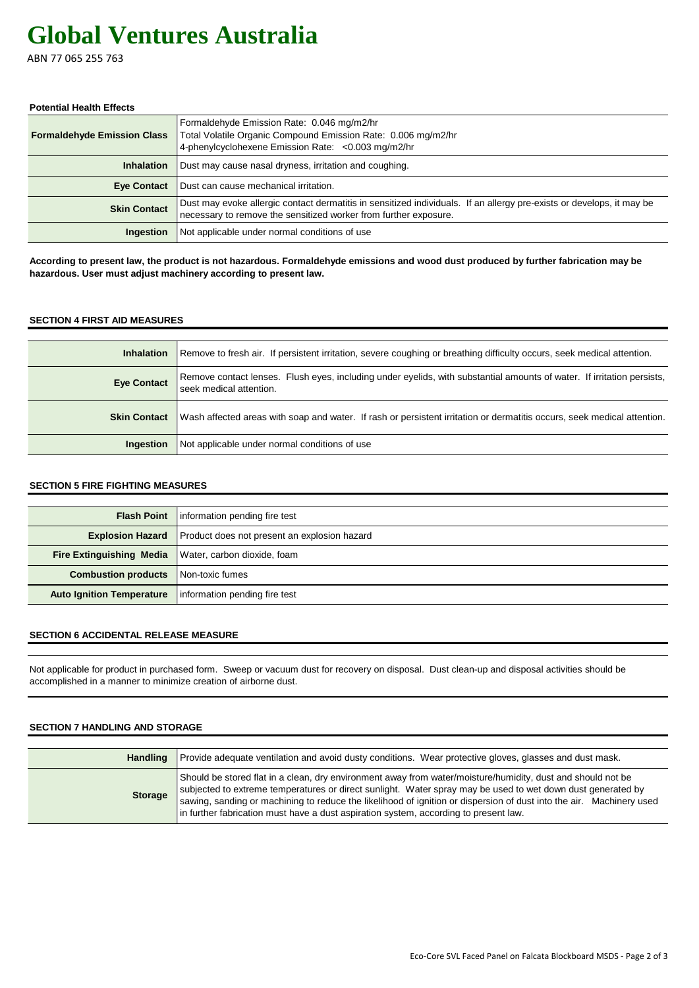# **Global Ventures Australia**

ABN 77 065 255 763

#### **Potential Health Effects**

| <b>Formaldehyde Emission Class</b> | Formaldehyde Emission Rate: 0.046 mg/m2/hr<br>Total Volatile Organic Compound Emission Rate: 0.006 mg/m2/hr<br>4-phenylcyclohexene Emission Rate: < 0.003 mg/m2/hr                        |
|------------------------------------|-------------------------------------------------------------------------------------------------------------------------------------------------------------------------------------------|
| <b>Inhalation</b>                  | Dust may cause nasal dryness, irritation and coughing.                                                                                                                                    |
| Eye Contact                        | Dust can cause mechanical irritation.                                                                                                                                                     |
| <b>Skin Contact</b>                | Dust may evoke allergic contact dermatitis in sensitized individuals. If an allergy pre-exists or develops, it may be<br>necessary to remove the sensitized worker from further exposure. |
| Ingestion                          | Not applicable under normal conditions of use                                                                                                                                             |

**According to present law, the product is not hazardous. Formaldehyde emissions and wood dust produced by further fabrication may be hazardous. User must adjust machinery according to present law.**

# **SECTION 4 FIRST AID MEASURES**

| <b>Inhalation</b>   | Remove to fresh air. If persistent irritation, severe coughing or breathing difficulty occurs, seek medical attention.                            |
|---------------------|---------------------------------------------------------------------------------------------------------------------------------------------------|
| <b>Eye Contact</b>  | Remove contact lenses. Flush eyes, including under eyelids, with substantial amounts of water. If irritation persists,<br>seek medical attention. |
| <b>Skin Contact</b> | Wash affected areas with soap and water. If rash or persistent irritation or dermatitis occurs, seek medical attention.                           |
| <b>Ingestion</b>    | Not applicable under normal conditions of use                                                                                                     |

## **SECTION 5 FIRE FIGHTING MEASURES**

|                                            | <b>Flash Point</b> information pending fire test                     |
|--------------------------------------------|----------------------------------------------------------------------|
|                                            | <b>Explosion Hazard</b> Product does not present an explosion hazard |
|                                            | <b>Fire Extinguishing Media</b> Water, carbon dioxide, foam          |
| <b>Combustion products</b> Non-toxic fumes |                                                                      |
| <b>Auto Ignition Temperature</b>           | information pending fire test                                        |

# **SECTION 6 ACCIDENTAL RELEASE MEASURE**

Not applicable for product in purchased form. Sweep or vacuum dust for recovery on disposal. Dust clean-up and disposal activities should be accomplished in a manner to minimize creation of airborne dust.

#### **SECTION 7 HANDLING AND STORAGE**

| Handling       | Provide adequate ventilation and avoid dusty conditions. Wear protective gloves, glasses and dust mask.                                                                                                                                                                                                                                                                                                                                    |
|----------------|--------------------------------------------------------------------------------------------------------------------------------------------------------------------------------------------------------------------------------------------------------------------------------------------------------------------------------------------------------------------------------------------------------------------------------------------|
| <b>Storage</b> | Should be stored flat in a clean, dry environment away from water/moisture/humidity, dust and should not be<br>subjected to extreme temperatures or direct sunlight. Water spray may be used to wet down dust generated by<br>sawing, sanding or machining to reduce the likelihood of ignition or dispersion of dust into the air. Machinery used<br>in further fabrication must have a dust aspiration system, according to present law. |